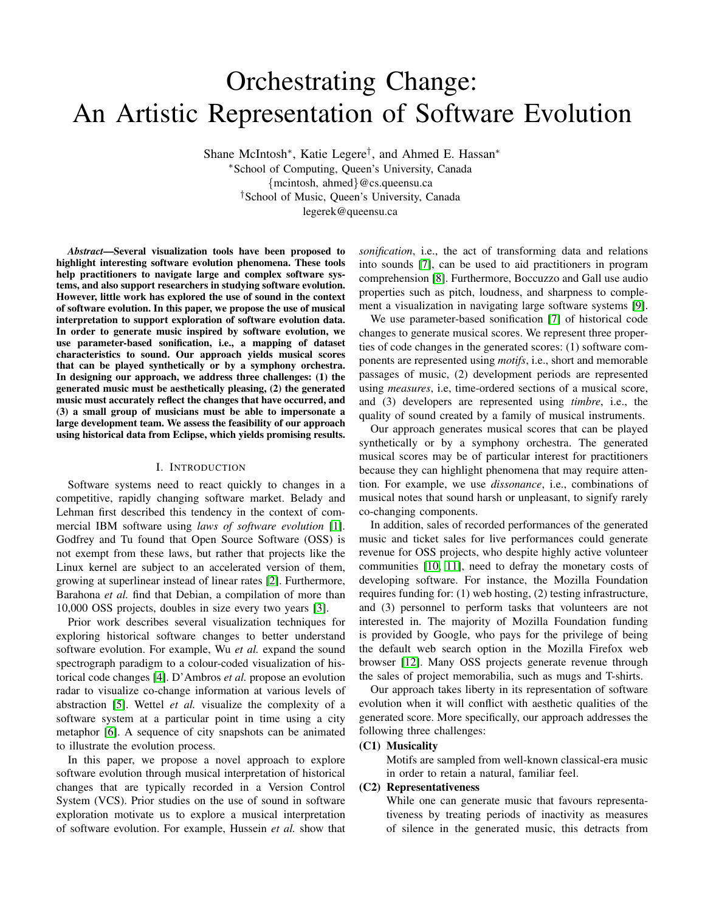# Orchestrating Change: An Artistic Representation of Software Evolution

Shane McIntosh<sup>∗</sup> , Katie Legere† , and Ahmed E. Hassan<sup>∗</sup> <sup>∗</sup>School of Computing, Queen's University, Canada {mcintosh, ahmed}@cs.queensu.ca †School of Music, Queen's University, Canada legerek@queensu.ca

*Abstract*—Several visualization tools have been proposed to highlight interesting software evolution phenomena. These tools help practitioners to navigate large and complex software systems, and also support researchers in studying software evolution. However, little work has explored the use of sound in the context of software evolution. In this paper, we propose the use of musical interpretation to support exploration of software evolution data. In order to generate music inspired by software evolution, we use parameter-based sonification, i.e., a mapping of dataset characteristics to sound. Our approach yields musical scores that can be played synthetically or by a symphony orchestra. In designing our approach, we address three challenges: (1) the generated music must be aesthetically pleasing, (2) the generated music must accurately reflect the changes that have occurred, and (3) a small group of musicians must be able to impersonate a large development team. We assess the feasibility of our approach using historical data from Eclipse, which yields promising results.

#### I. INTRODUCTION

<span id="page-0-0"></span>Software systems need to react quickly to changes in a competitive, rapidly changing software market. Belady and Lehman first described this tendency in the context of commercial IBM software using *laws of software evolution* [\[1\]](#page-4-0). Godfrey and Tu found that Open Source Software (OSS) is not exempt from these laws, but rather that projects like the Linux kernel are subject to an accelerated version of them, growing at superlinear instead of linear rates [\[2\]](#page-4-1). Furthermore, Barahona *et al.* find that Debian, a compilation of more than 10,000 OSS projects, doubles in size every two years [\[3\]](#page-4-2).

Prior work describes several visualization techniques for exploring historical software changes to better understand software evolution. For example, Wu *et al.* expand the sound spectrograph paradigm to a colour-coded visualization of historical code changes [\[4\]](#page-4-3). D'Ambros *et al.* propose an evolution radar to visualize co-change information at various levels of abstraction [\[5\]](#page-4-4). Wettel *et al.* visualize the complexity of a software system at a particular point in time using a city metaphor [\[6\]](#page-4-5). A sequence of city snapshots can be animated to illustrate the evolution process.

In this paper, we propose a novel approach to explore software evolution through musical interpretation of historical changes that are typically recorded in a Version Control System (VCS). Prior studies on the use of sound in software exploration motivate us to explore a musical interpretation of software evolution. For example, Hussein *et al.* show that *sonification*, i.e., the act of transforming data and relations into sounds [\[7\]](#page-4-6), can be used to aid practitioners in program comprehension [\[8\]](#page-4-7). Furthermore, Boccuzzo and Gall use audio properties such as pitch, loudness, and sharpness to complement a visualization in navigating large software systems [\[9\]](#page-4-8).

We use parameter-based sonification [\[7\]](#page-4-6) of historical code changes to generate musical scores. We represent three properties of code changes in the generated scores: (1) software components are represented using *motifs*, i.e., short and memorable passages of music, (2) development periods are represented using *measures*, i.e, time-ordered sections of a musical score, and (3) developers are represented using *timbre*, i.e., the quality of sound created by a family of musical instruments.

Our approach generates musical scores that can be played synthetically or by a symphony orchestra. The generated musical scores may be of particular interest for practitioners because they can highlight phenomena that may require attention. For example, we use *dissonance*, i.e., combinations of musical notes that sound harsh or unpleasant, to signify rarely co-changing components.

In addition, sales of recorded performances of the generated music and ticket sales for live performances could generate revenue for OSS projects, who despite highly active volunteer communities [\[10,](#page-4-9) [11\]](#page-4-10), need to defray the monetary costs of developing software. For instance, the Mozilla Foundation requires funding for: (1) web hosting, (2) testing infrastructure, and (3) personnel to perform tasks that volunteers are not interested in. The majority of Mozilla Foundation funding is provided by Google, who pays for the privilege of being the default web search option in the Mozilla Firefox web browser [\[12\]](#page-4-11). Many OSS projects generate revenue through the sales of project memorabilia, such as mugs and T-shirts.

Our approach takes liberty in its representation of software evolution when it will conflict with aesthetic qualities of the generated score. More specifically, our approach addresses the following three challenges:

#### (C1) Musicality

Motifs are sampled from well-known classical-era music in order to retain a natural, familiar feel.

## (C2) Representativeness

While one can generate music that favours representativeness by treating periods of inactivity as measures of silence in the generated music, this detracts from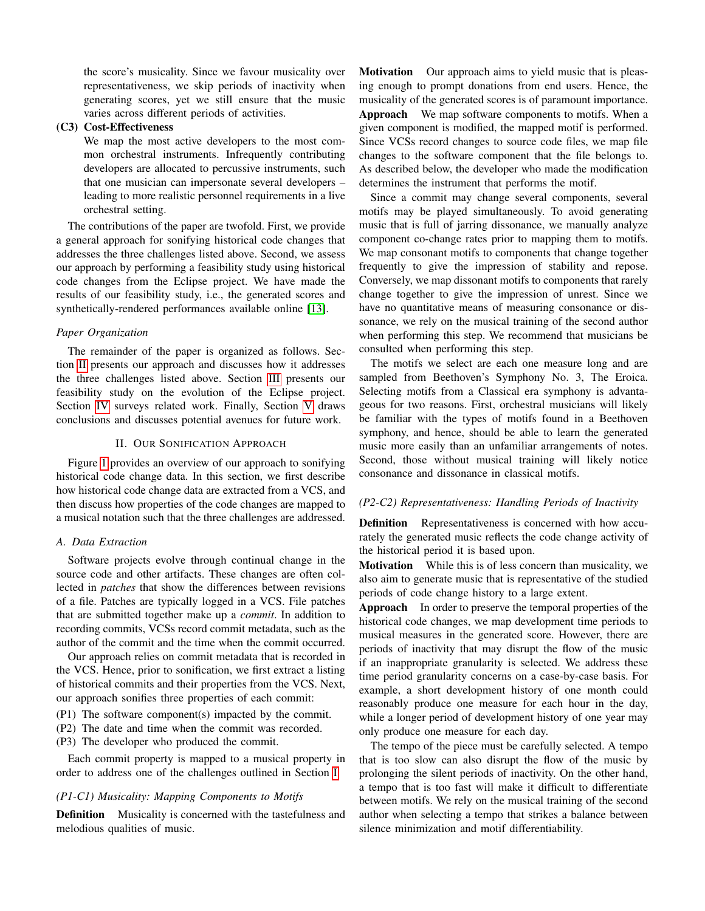the score's musicality. Since we favour musicality over representativeness, we skip periods of inactivity when generating scores, yet we still ensure that the music varies across different periods of activities.

## (C3) Cost-Effectiveness

We map the most active developers to the most common orchestral instruments. Infrequently contributing developers are allocated to percussive instruments, such that one musician can impersonate several developers – leading to more realistic personnel requirements in a live orchestral setting.

The contributions of the paper are twofold. First, we provide a general approach for sonifying historical code changes that addresses the three challenges listed above. Second, we assess our approach by performing a feasibility study using historical code changes from the Eclipse project. We have made the results of our feasibility study, i.e., the generated scores and synthetically-rendered performances available online [\[13\]](#page-4-12).

#### *Paper Organization*

The remainder of the paper is organized as follows. Section [II](#page-1-0) presents our approach and discusses how it addresses the three challenges listed above. Section [III](#page-2-0) presents our feasibility study on the evolution of the Eclipse project. Section [IV](#page-3-0) surveys related work. Finally, Section [V](#page-3-1) draws conclusions and discusses potential avenues for future work.

## II. OUR SONIFICATION APPROACH

<span id="page-1-0"></span>Figure [1](#page-2-1) provides an overview of our approach to sonifying historical code change data. In this section, we first describe how historical code change data are extracted from a VCS, and then discuss how properties of the code changes are mapped to a musical notation such that the three challenges are addressed.

#### *A. Data Extraction*

Software projects evolve through continual change in the source code and other artifacts. These changes are often collected in *patches* that show the differences between revisions of a file. Patches are typically logged in a VCS. File patches that are submitted together make up a *commit*. In addition to recording commits, VCSs record commit metadata, such as the author of the commit and the time when the commit occurred.

Our approach relies on commit metadata that is recorded in the VCS. Hence, prior to sonification, we first extract a listing of historical commits and their properties from the VCS. Next, our approach sonifies three properties of each commit:

- (P1) The software component(s) impacted by the commit.
- (P2) The date and time when the commit was recorded.
- (P3) The developer who produced the commit.

Each commit property is mapped to a musical property in order to address one of the challenges outlined in Section [I.](#page-0-0)

## *(P1-C1) Musicality: Mapping Components to Motifs*

Definition Musicality is concerned with the tastefulness and melodious qualities of music.

Motivation Our approach aims to yield music that is pleasing enough to prompt donations from end users. Hence, the musicality of the generated scores is of paramount importance. Approach We map software components to motifs. When a given component is modified, the mapped motif is performed. Since VCSs record changes to source code files, we map file changes to the software component that the file belongs to. As described below, the developer who made the modification determines the instrument that performs the motif.

Since a commit may change several components, several motifs may be played simultaneously. To avoid generating music that is full of jarring dissonance, we manually analyze component co-change rates prior to mapping them to motifs. We map consonant motifs to components that change together frequently to give the impression of stability and repose. Conversely, we map dissonant motifs to components that rarely change together to give the impression of unrest. Since we have no quantitative means of measuring consonance or dissonance, we rely on the musical training of the second author when performing this step. We recommend that musicians be consulted when performing this step.

The motifs we select are each one measure long and are sampled from Beethoven's Symphony No. 3, The Eroica. Selecting motifs from a Classical era symphony is advantageous for two reasons. First, orchestral musicians will likely be familiar with the types of motifs found in a Beethoven symphony, and hence, should be able to learn the generated music more easily than an unfamiliar arrangements of notes. Second, those without musical training will likely notice consonance and dissonance in classical motifs.

#### *(P2-C2) Representativeness: Handling Periods of Inactivity*

Definition Representativeness is concerned with how accurately the generated music reflects the code change activity of the historical period it is based upon.

Motivation While this is of less concern than musicality, we also aim to generate music that is representative of the studied periods of code change history to a large extent.

Approach In order to preserve the temporal properties of the historical code changes, we map development time periods to musical measures in the generated score. However, there are periods of inactivity that may disrupt the flow of the music if an inappropriate granularity is selected. We address these time period granularity concerns on a case-by-case basis. For example, a short development history of one month could reasonably produce one measure for each hour in the day, while a longer period of development history of one year may only produce one measure for each day.

The tempo of the piece must be carefully selected. A tempo that is too slow can also disrupt the flow of the music by prolonging the silent periods of inactivity. On the other hand, a tempo that is too fast will make it difficult to differentiate between motifs. We rely on the musical training of the second author when selecting a tempo that strikes a balance between silence minimization and motif differentiability.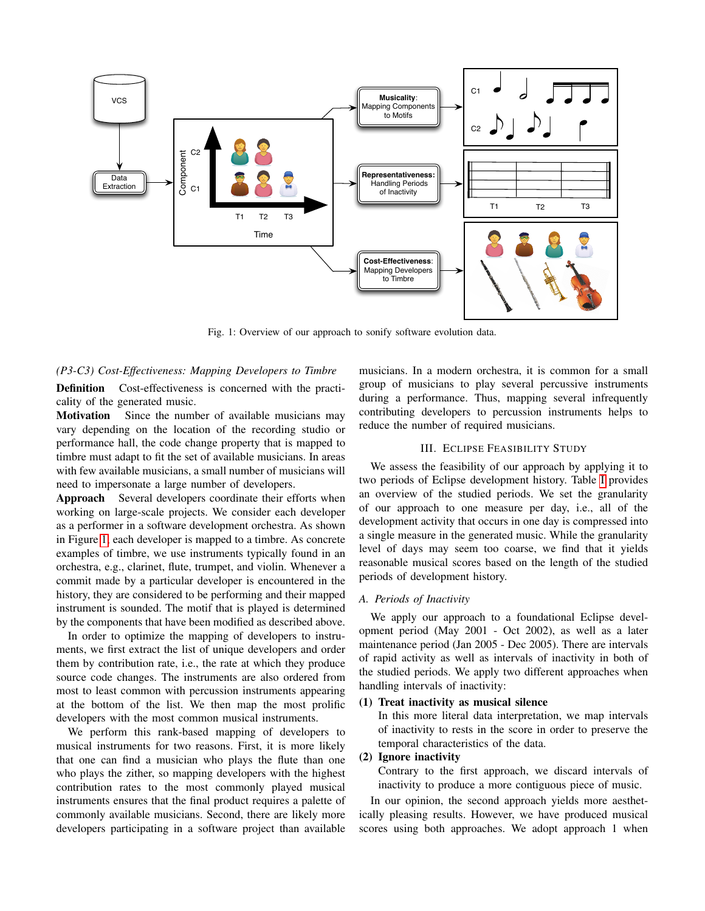<span id="page-2-1"></span>

Fig. 1: Overview of our approach to sonify software evolution data.

# *(P3-C3) Cost-Effectiveness: Mapping Developers to Timbre*

Definition Cost-effectiveness is concerned with the practicality of the generated music.

Motivation Since the number of available musicians may vary depending on the location of the recording studio or performance hall, the code change property that is mapped to timbre must adapt to fit the set of available musicians. In areas with few available musicians, a small number of musicians will need to impersonate a large number of developers.

Approach Several developers coordinate their efforts when working on large-scale projects. We consider each developer as a performer in a software development orchestra. As shown in Figure [1,](#page-2-1) each developer is mapped to a timbre. As concrete examples of timbre, we use instruments typically found in an orchestra, e.g., clarinet, flute, trumpet, and violin. Whenever a commit made by a particular developer is encountered in the history, they are considered to be performing and their mapped instrument is sounded. The motif that is played is determined by the components that have been modified as described above.

In order to optimize the mapping of developers to instruments, we first extract the list of unique developers and order them by contribution rate, i.e., the rate at which they produce source code changes. The instruments are also ordered from most to least common with percussion instruments appearing at the bottom of the list. We then map the most prolific developers with the most common musical instruments.

We perform this rank-based mapping of developers to musical instruments for two reasons. First, it is more likely that one can find a musician who plays the flute than one who plays the zither, so mapping developers with the highest contribution rates to the most commonly played musical instruments ensures that the final product requires a palette of commonly available musicians. Second, there are likely more developers participating in a software project than available

musicians. In a modern orchestra, it is common for a small group of musicians to play several percussive instruments during a performance. Thus, mapping several infrequently contributing developers to percussion instruments helps to reduce the number of required musicians.

## III. ECLIPSE FEASIBILITY STUDY

<span id="page-2-0"></span>We assess the feasibility of our approach by applying it to two periods of Eclipse development history. Table [I](#page-3-2) provides an overview of the studied periods. We set the granularity of our approach to one measure per day, i.e., all of the development activity that occurs in one day is compressed into a single measure in the generated music. While the granularity level of days may seem too coarse, we find that it yields reasonable musical scores based on the length of the studied periods of development history.

## *A. Periods of Inactivity*

We apply our approach to a foundational Eclipse development period (May 2001 - Oct 2002), as well as a later maintenance period (Jan 2005 - Dec 2005). There are intervals of rapid activity as well as intervals of inactivity in both of the studied periods. We apply two different approaches when handling intervals of inactivity:

# (1) Treat inactivity as musical silence

In this more literal data interpretation, we map intervals of inactivity to rests in the score in order to preserve the temporal characteristics of the data.

# (2) Ignore inactivity

Contrary to the first approach, we discard intervals of inactivity to produce a more contiguous piece of music.

In our opinion, the second approach yields more aesthetically pleasing results. However, we have produced musical scores using both approaches. We adopt approach 1 when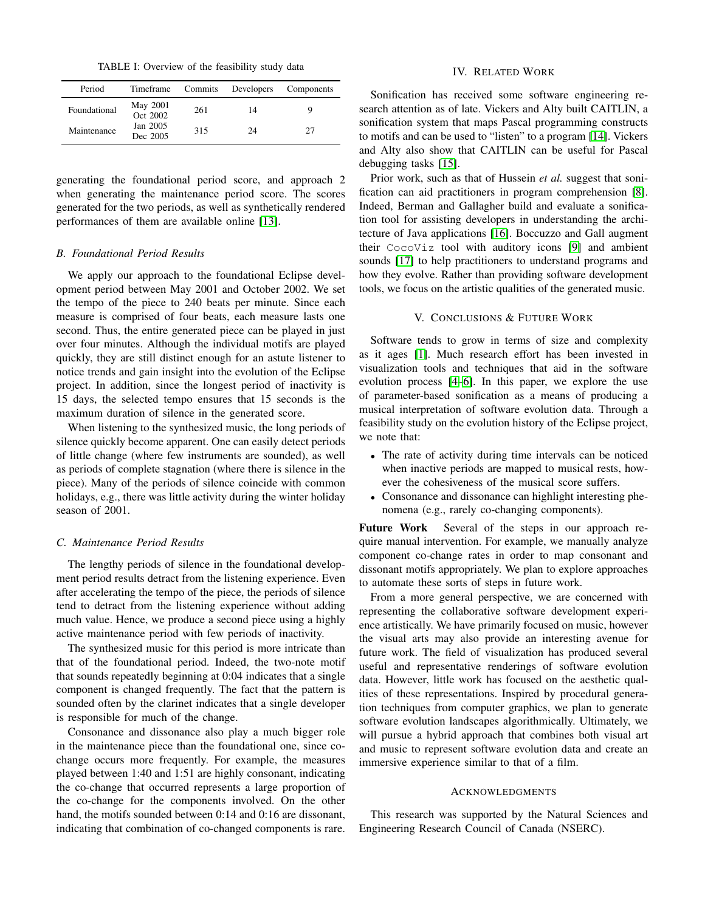TABLE I: Overview of the feasibility study data

<span id="page-3-2"></span>

| Period       | Timeframe            | Commits | Developers | Components |
|--------------|----------------------|---------|------------|------------|
| Foundational | May 2001<br>Oct 2002 | 261     | 14         |            |
| Maintenance  | Jan 2005<br>Dec 2005 | 315     | 24         | 27         |

generating the foundational period score, and approach 2 when generating the maintenance period score. The scores generated for the two periods, as well as synthetically rendered performances of them are available online [\[13\]](#page-4-12).

## *B. Foundational Period Results*

We apply our approach to the foundational Eclipse development period between May 2001 and October 2002. We set the tempo of the piece to 240 beats per minute. Since each measure is comprised of four beats, each measure lasts one second. Thus, the entire generated piece can be played in just over four minutes. Although the individual motifs are played quickly, they are still distinct enough for an astute listener to notice trends and gain insight into the evolution of the Eclipse project. In addition, since the longest period of inactivity is 15 days, the selected tempo ensures that 15 seconds is the maximum duration of silence in the generated score.

When listening to the synthesized music, the long periods of silence quickly become apparent. One can easily detect periods of little change (where few instruments are sounded), as well as periods of complete stagnation (where there is silence in the piece). Many of the periods of silence coincide with common holidays, e.g., there was little activity during the winter holiday season of 2001.

## *C. Maintenance Period Results*

The lengthy periods of silence in the foundational development period results detract from the listening experience. Even after accelerating the tempo of the piece, the periods of silence tend to detract from the listening experience without adding much value. Hence, we produce a second piece using a highly active maintenance period with few periods of inactivity.

The synthesized music for this period is more intricate than that of the foundational period. Indeed, the two-note motif that sounds repeatedly beginning at 0:04 indicates that a single component is changed frequently. The fact that the pattern is sounded often by the clarinet indicates that a single developer is responsible for much of the change.

Consonance and dissonance also play a much bigger role in the maintenance piece than the foundational one, since cochange occurs more frequently. For example, the measures played between 1:40 and 1:51 are highly consonant, indicating the co-change that occurred represents a large proportion of the co-change for the components involved. On the other hand, the motifs sounded between 0:14 and 0:16 are dissonant, indicating that combination of co-changed components is rare.

#### IV. RELATED WORK

<span id="page-3-0"></span>Sonification has received some software engineering research attention as of late. Vickers and Alty built CAITLIN, a sonification system that maps Pascal programming constructs to motifs and can be used to "listen" to a program [\[14\]](#page-4-13). Vickers and Alty also show that CAITLIN can be useful for Pascal debugging tasks [\[15\]](#page-4-14).

Prior work, such as that of Hussein *et al.* suggest that sonification can aid practitioners in program comprehension [\[8\]](#page-4-7). Indeed, Berman and Gallagher build and evaluate a sonification tool for assisting developers in understanding the architecture of Java applications [\[16\]](#page-4-15). Boccuzzo and Gall augment their CocoViz tool with auditory icons [\[9\]](#page-4-8) and ambient sounds [\[17\]](#page-4-16) to help practitioners to understand programs and how they evolve. Rather than providing software development tools, we focus on the artistic qualities of the generated music.

#### V. CONCLUSIONS & FUTURE WORK

<span id="page-3-1"></span>Software tends to grow in terms of size and complexity as it ages [\[1\]](#page-4-0). Much research effort has been invested in visualization tools and techniques that aid in the software evolution process [\[4–](#page-4-3)[6\]](#page-4-5). In this paper, we explore the use of parameter-based sonification as a means of producing a musical interpretation of software evolution data. Through a feasibility study on the evolution history of the Eclipse project, we note that:

- The rate of activity during time intervals can be noticed when inactive periods are mapped to musical rests, however the cohesiveness of the musical score suffers.
- Consonance and dissonance can highlight interesting phenomena (e.g., rarely co-changing components).

Future Work Several of the steps in our approach require manual intervention. For example, we manually analyze component co-change rates in order to map consonant and dissonant motifs appropriately. We plan to explore approaches to automate these sorts of steps in future work.

From a more general perspective, we are concerned with representing the collaborative software development experience artistically. We have primarily focused on music, however the visual arts may also provide an interesting avenue for future work. The field of visualization has produced several useful and representative renderings of software evolution data. However, little work has focused on the aesthetic qualities of these representations. Inspired by procedural generation techniques from computer graphics, we plan to generate software evolution landscapes algorithmically. Ultimately, we will pursue a hybrid approach that combines both visual art and music to represent software evolution data and create an immersive experience similar to that of a film.

#### ACKNOWLEDGMENTS

This research was supported by the Natural Sciences and Engineering Research Council of Canada (NSERC).